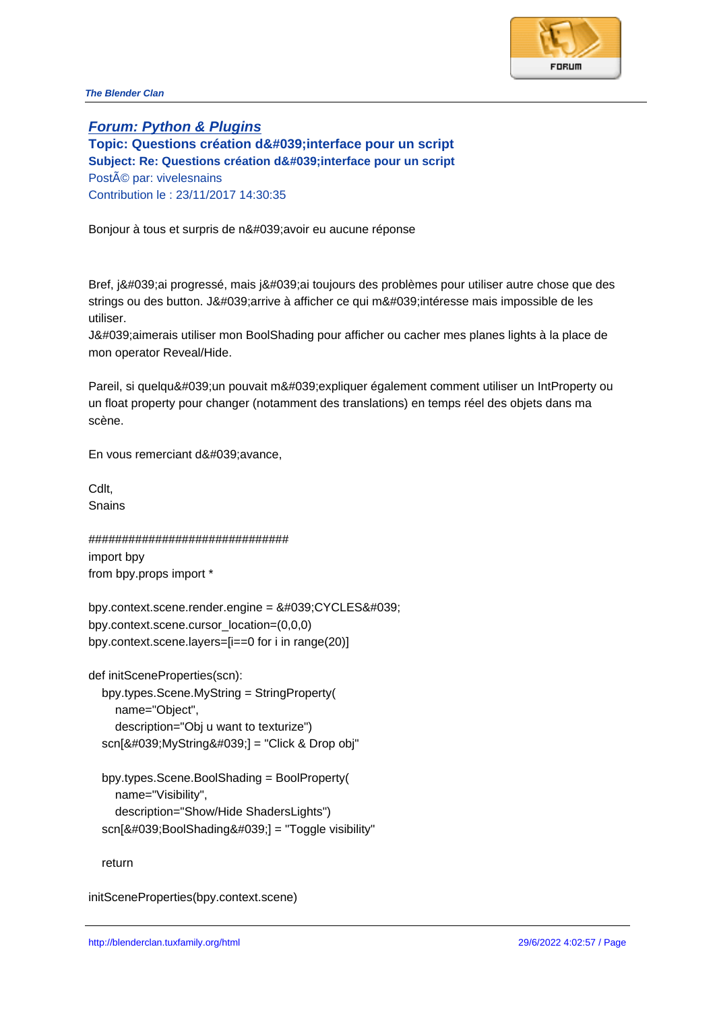## **Forum: Python & Plugins**

Topic: Questions création d' interface pour un script Subject: Re: Questions création d'interface pour un script Posté par: vivelesnains Contribution le : 23/11/2017 14:30:35

Bonjour à tous et surpris de n' avoir eu aucune réponse

Bref, j'ai progressé, mais j'ai toujours des problèmes pour utiliser autre chose que des strings ou des button. J'arrive à afficher ce qui m'intéresse mais impossible de les utiliser.

J'aimerais utiliser mon BoolShading pour afficher ou cacher mes planes lights à la place de mon operator Reveal/Hide.

Pareil, si quelqu'un pouvait m'expliquer également comment utiliser un IntProperty ou un float property pour changer (notamment des translations) en temps réel des objets dans ma scène.

En vous remerciant d'avance,

Cdlt, Snains

############################## import bpy from bpy.props import \*

 $bpy.context.scence.render.engine =  $8\#039; CYCLES8\#039;$$ bpy.context.scene.cursor\_location=(0,0,0) bpy.context.scene.layers=[i==0 for i in range(20)]

def initSceneProperties(scn): bpy.types.Scene.MyString = StringProperty( name="Object", description="Obj u want to texturize") scn['MyString'] = "Click & Drop obj"

 bpy.types.Scene.BoolShading = BoolProperty( name="Visibility", description="Show/Hide ShadersLights") scn['BoolShading'] = "Toggle visibility"

return

initSceneProperties(bpy.context.scene)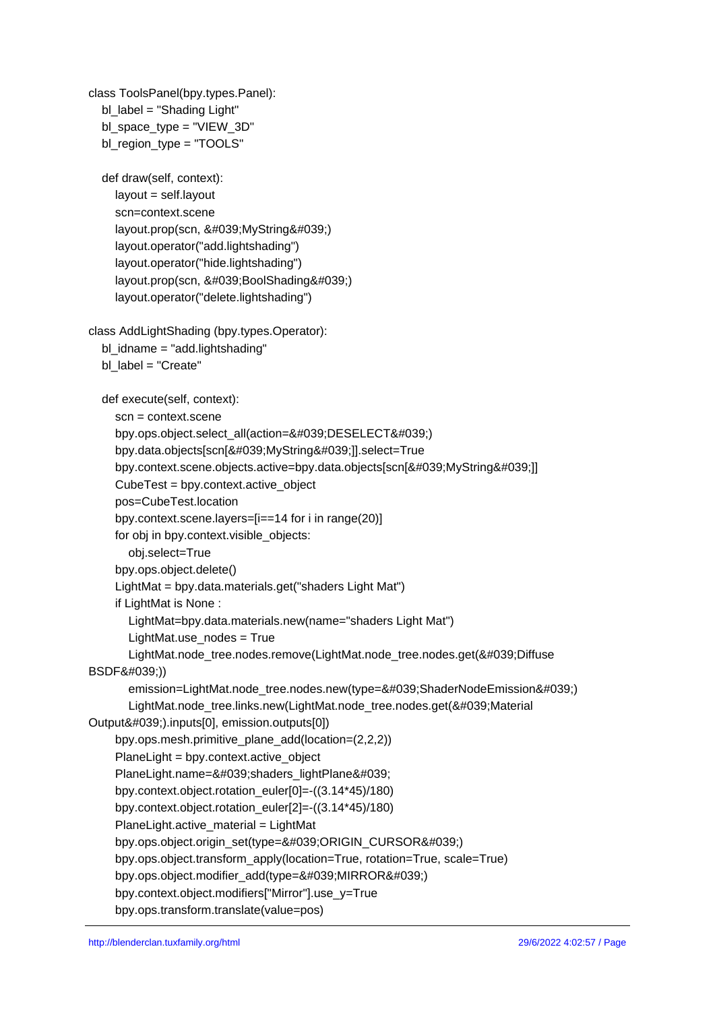class ToolsPanel(bpy.types.Panel): bl\_label = "Shading Light" bl space  $type = "VIEW 3D"$  bl\_region\_type = "TOOLS" def draw(self, context): layout = self.layout scn=context.scene layout.prop(scn, 'MyString') layout.operator("add.lightshading") layout.operator("hide.lightshading") layout.prop(scn, 'BoolShading') layout.operator("delete.lightshading") class AddLightShading (bpy.types.Operator): bl  $idname = "add.lightshading"$ bl label = "Create" def execute(self, context): scn = context.scene bpy.ops.object.select\_all(action='DESELECT') bpy.data.objects[scn['MyString']].select=True bpy.context.scene.objects.active=bpy.data.objects[scn['MyString']] CubeTest = bpy.context.active\_object pos=CubeTest.location bpy.context.scene.layers=[i==14 for i in range(20)] for obj in bpy.context.visible\_objects: obj.select=True bpy.ops.object.delete() LightMat = bpy.data.materials.get("shaders Light Mat") if LightMat is None : LightMat=bpy.data.materials.new(name="shaders Light Mat") LightMat.use\_nodes = True LightMat.node\_tree.nodes.remove(LightMat.node\_tree.nodes.get('Diffuse BSDF')) emission=LightMat.node\_tree.nodes.new(type='ShaderNodeEmission') LightMat.node\_tree.links.new(LightMat.node\_tree.nodes.get('Material Output').inputs[0], emission.outputs[0]) bpy.ops.mesh.primitive\_plane\_add(location=(2,2,2)) PlaneLight = bpy.context.active\_object PlaneLight.name='shaders\_lightPlane' bpy.context.object.rotation\_euler[0]=-((3.14\*45)/180) bpy.context.object.rotation\_euler[2]=-((3.14\*45)/180) PlaneLight.active\_material = LightMat bpy.ops.object.origin\_set(type='ORIGIN\_CURSOR') bpy.ops.object.transform\_apply(location=True, rotation=True, scale=True) bpy.ops.object.modifier\_add(type='MIRROR') bpy.context.object.modifiers["Mirror"].use\_y=True

bpy.ops.transform.translate(value=pos)